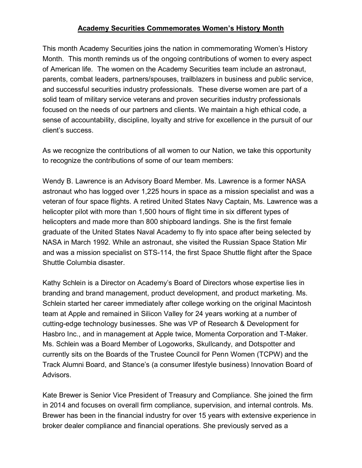## **Academy Securities Commemorates Women's History Month**

This month Academy Securities joins the nation in commemorating Women's History Month. This month reminds us of the ongoing contributions of women to every aspect of American life. The women on the Academy Securities team include an astronaut, parents, combat leaders, partners/spouses, trailblazers in business and public service, and successful securities industry professionals. These diverse women are part of a solid team of military service veterans and proven securities industry professionals focused on the needs of our partners and clients. We maintain a high ethical code, a sense of accountability, discipline, loyalty and strive for excellence in the pursuit of our client's success.

As we recognize the contributions of all women to our Nation, we take this opportunity to recognize the contributions of some of our team members:

Wendy B. Lawrence is an Advisory Board Member. Ms. Lawrence is a former NASA astronaut who has logged over 1,225 hours in space as a mission specialist and was a veteran of four space flights. A retired United States Navy Captain, Ms. Lawrence was a helicopter pilot with more than 1,500 hours of flight time in six different types of helicopters and made more than 800 shipboard landings. She is the first female graduate of the United States Naval Academy to fly into space after being selected by NASA in March 1992. While an astronaut, she visited the Russian Space Station Mir and was a mission specialist on STS-114, the first Space Shuttle flight after the Space Shuttle Columbia disaster.

Kathy Schlein is a Director on Academy's Board of Directors whose expertise lies in branding and brand management, product development, and product marketing. Ms. Schlein started her career immediately after college working on the original Macintosh team at Apple and remained in Silicon Valley for 24 years working at a number of cutting-edge technology businesses. She was VP of Research & Development for Hasbro Inc., and in management at Apple twice, Momenta Corporation and T-Maker. Ms. Schlein was a Board Member of Logoworks, Skullcandy, and Dotspotter and currently sits on the Boards of the Trustee Council for Penn Women (TCPW) and the Track Alumni Board, and Stance's (a consumer lifestyle business) Innovation Board of Advisors.

Kate Brewer is Senior Vice President of Treasury and Compliance. She joined the firm in 2014 and focuses on overall firm compliance, supervision, and internal controls. Ms. Brewer has been in the financial industry for over 15 years with extensive experience in broker dealer compliance and financial operations. She previously served as a